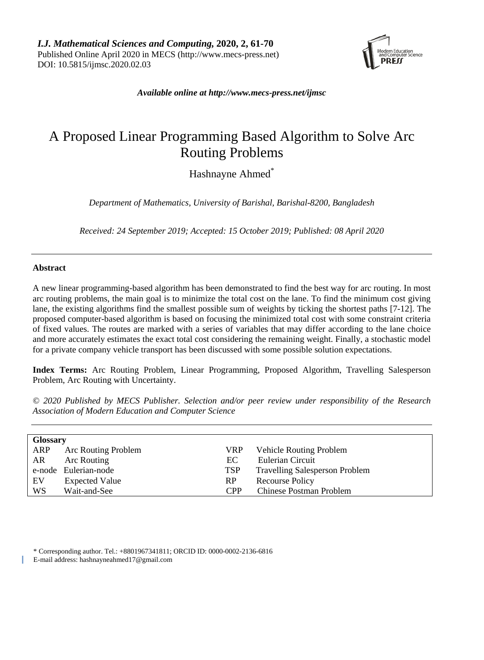

*Available online at [http://www.mecs-press.net/ijmsc](http://www.mecs-press.net/ijwmt)*

# A Proposed Linear Programming Based Algorithm to Solve Arc Routing Problems

Hashnayne Ahmed<sup>\*</sup>

*Department of Mathematics, University of Barishal, Barishal-8200, Bangladesh*

*Received: 24 September 2019; Accepted: 15 October 2019; Published: 08 April 2020*

# **Abstract**

A new linear programming-based algorithm has been demonstrated to find the best way for arc routing. In most arc routing problems, the main goal is to minimize the total cost on the lane. To find the minimum cost giving lane, the existing algorithms find the smallest possible sum of weights by ticking the shortest paths [7-12]. The proposed computer-based algorithm is based on focusing the minimized total cost with some constraint criteria of fixed values. The routes are marked with a series of variables that may differ according to the lane choice and more accurately estimates the exact total cost considering the remaining weight. Finally, a stochastic model for a private company vehicle transport has been discussed with some possible solution expectations.

**Index Terms:** Arc Routing Problem, Linear Programming, Proposed Algorithm, Travelling Salesperson Problem, Arc Routing with Uncertainty.

*© 2020 Published by MECS Publisher. Selection and/or peer review under responsibility of the Research Association of Modern Education and Computer Science*

| <b>Glossary</b> |                       |            |                                       |  |  |  |  |  |
|-----------------|-----------------------|------------|---------------------------------------|--|--|--|--|--|
| ARP             | Arc Routing Problem   | VRP.       | <b>Vehicle Routing Problem</b>        |  |  |  |  |  |
| AR.             | Arc Routing           | EC.        | Eulerian Circuit                      |  |  |  |  |  |
|                 | e-node Eulerian-node  | <b>TSP</b> | <b>Travelling Salesperson Problem</b> |  |  |  |  |  |
| EV              | <b>Expected Value</b> | RP.        | Recourse Policy                       |  |  |  |  |  |
| <b>WS</b>       | Wait-and-See          | <b>CPP</b> | Chinese Postman Problem               |  |  |  |  |  |

\* Corresponding author. Tel.: +8801967341811; ORCID ID: 0000-0002-2136-6816

E-mail address: hashnayneahmed17@gmail.com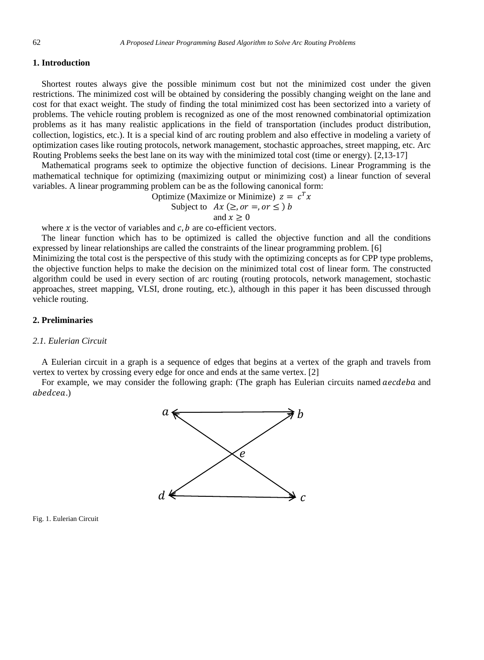# **1. Introduction**

Shortest routes always give the possible minimum cost but not the minimized cost under the given restrictions. The minimized cost will be obtained by considering the possibly changing weight on the lane and cost for that exact weight. The study of finding the total minimized cost has been sectorized into a variety of problems. The vehicle routing problem is recognized as one of the most renowned combinatorial optimization problems as it has many realistic applications in the field of transportation (includes product distribution, collection, logistics, etc.). It is a special kind of arc routing problem and also effective in modeling a variety of optimization cases like routing protocols, network management, stochastic approaches, street mapping, etc. Arc Routing Problems seeks the best lane on its way with the minimized total cost (time or energy). [2,13-17]

Mathematical programs seek to optimize the objective function of decisions. Linear Programming is the mathematical technique for optimizing (maximizing output or minimizing cost) a linear function of several variables. A linear programming problem can be as the following canonical form:

Optimize (Maximize or Minimize)  $z = c^T x$ 

Subject to 
$$
Ax \ (\ge, or =, or \le) b
$$
  
and  $x > 0$ 

where  $x$  is the vector of variables and  $c$ ,  $b$  are co-efficient vectors.

The linear function which has to be optimized is called the objective function and all the conditions expressed by linear relationships are called the constraints of the linear programming problem. [6]

Minimizing the total cost is the perspective of this study with the optimizing concepts as for CPP type problems, the objective function helps to make the decision on the minimized total cost of linear form. The constructed algorithm could be used in every section of arc routing (routing protocols, network management, stochastic approaches, street mapping, VLSI, drone routing, etc.), although in this paper it has been discussed through vehicle routing.

# **2. Preliminaries**

## *2.1. Eulerian Circuit*

A Eulerian circuit in a graph is a sequence of edges that begins at a vertex of the graph and travels from vertex to vertex by crossing every edge for once and ends at the same vertex. [2]

For example, we may consider the following graph: (The graph has Eulerian circuits named *aecdeba* and ahedcea.)



Fig. 1. Eulerian Circuit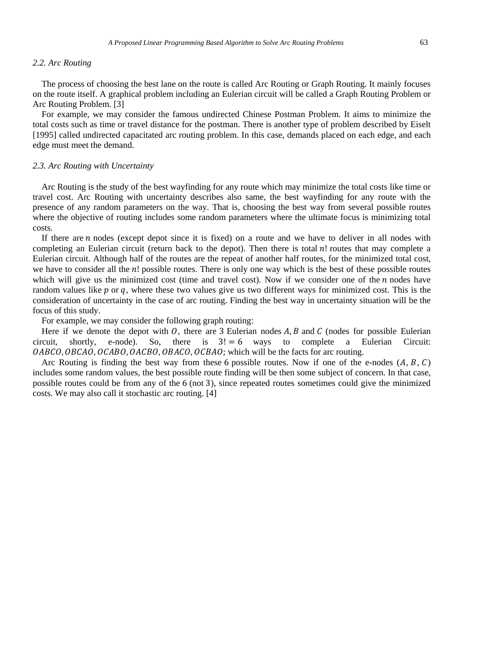#### *2.2. Arc Routing*

The process of choosing the best lane on the route is called Arc Routing or Graph Routing. It mainly focuses on the route itself. A graphical problem including an Eulerian circuit will be called a Graph Routing Problem or Arc Routing Problem. [3]

For example, we may consider the famous undirected Chinese Postman Problem. It aims to minimize the total costs such as time or travel distance for the postman. There is another type of problem described by Eiselt [1995] called undirected capacitated arc routing problem. In this case, demands placed on each edge, and each edge must meet the demand.

## *2.3. Arc Routing with Uncertainty*

Arc Routing is the study of the best wayfinding for any route which may minimize the total costs like time or travel cost. Arc Routing with uncertainty describes also same, the best wayfinding for any route with the presence of any random parameters on the way. That is, choosing the best way from several possible routes where the objective of routing includes some random parameters where the ultimate focus is minimizing total costs.

If there are  $n$  nodes (except depot since it is fixed) on a route and we have to deliver in all nodes with completing an Eulerian circuit (return back to the depot). Then there is total n! routes that may complete a Eulerian circuit. Although half of the routes are the repeat of another half routes, for the minimized total cost, we have to consider all the  $n!$  possible routes. There is only one way which is the best of these possible routes which will give us the minimized cost (time and travel cost). Now if we consider one of the  $n$  nodes have random values like  $p$  or  $q$ , where these two values give us two different ways for minimized cost. This is the consideration of uncertainty in the case of arc routing. Finding the best way in uncertainty situation will be the focus of this study.

For example, we may consider the following graph routing:

Here if we denote the depot with *O*, there are 3 Eulerian nodes *A*, *B* and *C* (nodes for possible Eulerian circuit, shortly, e-node). So, there is  $3! = 6$  ways to complete a Eulerian Circuit: there is  $3! = 6$  ways to complete OABCO, OBCAO, OCABO, OACBO, OBACO, OCBAO; which will be the facts for arc routing.

Arc Routing is finding the best way from these 6 possible routes. Now if one of the e-nodes  $(A, B, C)$ includes some random values, the best possible route finding will be then some subject of concern. In that case, possible routes could be from any of the 6 (not 3), since repeated routes sometimes could give the minimized costs. We may also call it stochastic arc routing. [4]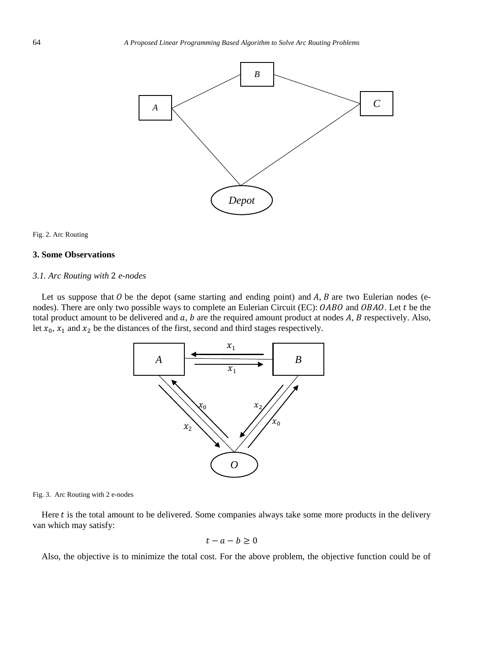

#### Fig. 2. Arc Routing

## **3. Some Observations**

# *3.1. Arc Routing with* 2 *e-nodes*

Let us suppose that  $\theta$  be the depot (same starting and ending point) and  $A$ ,  $B$  are two Eulerian nodes (enodes). There are only two possible ways to complete an Eulerian Circuit (EC): OABO and OBAO. Let t be the total product amount to be delivered and  $a, b$  are the required amount product at nodes  $A, B$  respectively. Also, let  $x_0$ ,  $x_1$  and  $x_2$  be the distances of the first, second and third stages respectively.



Fig. 3. Arc Routing with 2 e-nodes

Here  $t$  is the total amount to be delivered. Some companies always take some more products in the delivery van which may satisfy:

$$
t-a-b\geq 0
$$

Also, the objective is to minimize the total cost. For the above problem, the objective function could be of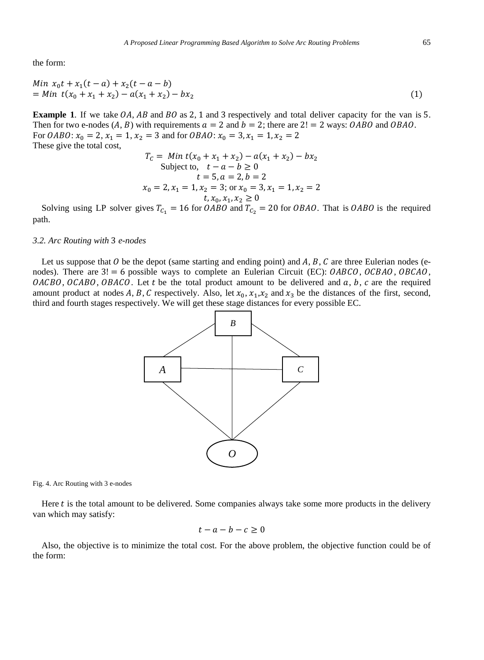the form:

Min 
$$
x_0 t + x_1 (t - a) + x_2 (t - a - b)
$$
  
= Min  $t(x_0 + x_1 + x_2) - a(x_1 + x_2) - bx_2$  (1)

**Example 1.** If we take  $OA$ ,  $AB$  and  $BO$  as 2, 1 and 3 respectively and total deliver capacity for the van is 5. Then for two e-nodes  $(A, B)$  with requirements  $a = 2$  and  $b = 2$ ; there are  $2! = 2$  ways: OABO and OBAO. For *OABO*:  $x_0 = 2$ ,  $x_1 = 1$ ,  $x_2 = 3$  and for *OBAO*:  $x_0 = 3$ ,  $x_1 = 1$ ,  $x_2 = 2$ These give the total cost,

$$
T_C = Min t(x_0 + x_1 + x_2) - a(x_1 + x_2) - bx_2
$$
  
Subject to,  $t - a - b \ge 0$   
 $t = 5, a = 2, b = 2$   
 $x_0 = 2, x_1 = 1, x_2 = 3$ ; or  $x_0 = 3, x_1 = 1, x_2 = 2$   
 $t, x_0, x_1, x_2 \ge 0$ 

Solving using LP solver gives  $T_{C_1} = 16$  for *OABO* and  $T_{C_2} = 20$  for *OBAO*. That is *OABO* is the required path.

*3.2. Arc Routing with* 3 *e-nodes*

Let us suppose that  $\theta$  be the depot (same starting and ending point) and  $A, B, C$  are three Eulerian nodes (enodes). There are  $3! = 6$  possible ways to complete an Eulerian Circuit (EC):  $OABCO$ ,  $OCBAO$ ,  $OBCAO$ ,  $OACBO$ ,  $OCABO$ ,  $OBACO$ . Let t be the total product amount to be delivered and a, b, c are the required amount product at nodes A, B, C respectively. Also, let  $x_0, x_1, x_2$  and  $x_3$  be the distances of the first, second, third and fourth stages respectively. We will get these stage distances for every possible EC.



Fig. 4. Arc Routing with 3 e-nodes

Here  $t$  is the total amount to be delivered. Some companies always take some more products in the delivery van which may satisfy:

$$
t - a - b - c \ge 0
$$

Also, the objective is to minimize the total cost. For the above problem, the objective function could be of the form: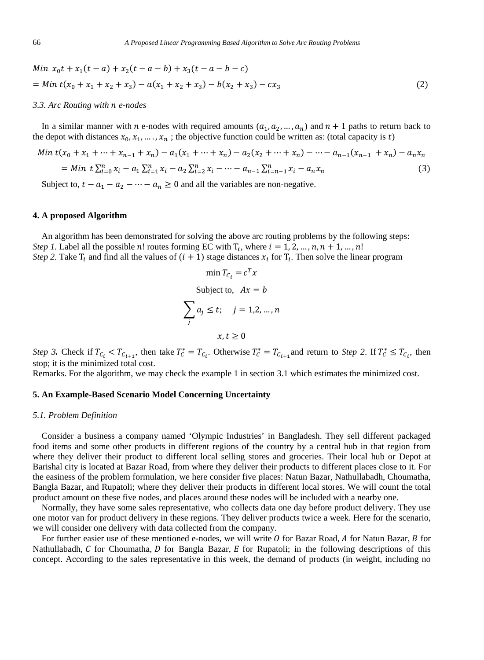Min 
$$
x_0t + x_1(t-a) + x_2(t-a-b) + x_3(t-a-b-c)
$$
  
= Min  $t(x_0 + x_1 + x_2 + x_3) - a(x_1 + x_2 + x_3) - b(x_2 + x_3) - cx_3$  (2)

#### *3.3. Arc Routing with e-nodes*

In a similar manner with *n* e-nodes with required amounts  $(a_1, a_2, ..., a_n)$  and  $n + 1$  paths to return back to the depot with distances  $x_0, x_1, ..., x_n$ ; the objective function could be written as: (total capacity is t)

$$
Min t(x_0 + x_1 + \dots + x_{n-1} + x_n) - a_1(x_1 + \dots + x_n) - a_2(x_2 + \dots + x_n) - \dots - a_{n-1}(x_{n-1} + x_n) - a_n x_n
$$
  
= Min t  $\sum_{i=0}^{n} x_i - a_1 \sum_{i=1}^{n} x_i - a_2 \sum_{i=2}^{n} x_i - \dots - a_{n-1} \sum_{i=n-1}^{n} x_i - a_n x_n$  (3)

Subject to,  $t - a_1 - a_2 - \cdots - a_n \ge 0$  and all the variables are non-negative.

#### **4. A proposed Algorithm**

An algorithm has been demonstrated for solving the above arc routing problems by the following steps: *Step 1.* Label all the possible n! routes forming EC with  $T_i$ , where  $i = 1, 2, ..., n, n + 1, ..., n!$ *Step 2.* Take  $T_i$  and find all the values of  $(i + 1)$  stage distances  $x_i$  for  $T_i$ . Then solve the linear program

$$
\min T_{C_i} = c^T x
$$
  
Subject to,  $Ax = b$   

$$
\sum_j a_j \le t; \quad j = 1, 2, ..., n
$$
  
 $x, t > 0$ 

*Step 3*. Check if  $T_{c_i} < T_{c_{i+1}}$ , then take  $T_c^* = T_{c_i}$ . Otherwise  $T_c^* = T_{c_{i+1}}$  and return to *Step 2*. If  $T_c^* \le T_{c_i}$ , then stop; it is the minimized total cost.

Remarks. For the algorithm, we may check the example 1 in section 3.1 which estimates the minimized cost.

## **5. An Example-Based Scenario Model Concerning Uncertainty**

#### *5.1. Problem Definition*

Consider a business a company named 'Olympic Industries' in Bangladesh. They sell different packaged food items and some other products in different regions of the country by a central hub in that region from where they deliver their product to different local selling stores and groceries. Their local hub or Depot at Barishal city is located at Bazar Road, from where they deliver their products to different places close to it. For the easiness of the problem formulation, we here consider five places: Natun Bazar, Nathullabadh, Choumatha, Bangla Bazar, and Rupatoli; where they deliver their products in different local stores. We will count the total product amount on these five nodes, and places around these nodes will be included with a nearby one.

Normally, they have some sales representative, who collects data one day before product delivery. They use one motor van for product delivery in these regions. They deliver products twice a week. Here for the scenario, we will consider one delivery with data collected from the company.

For further easier use of these mentioned e-nodes, we will write  $O$  for Bazar Road,  $A$  for Natun Bazar,  $B$  for Nathullabadh,  $C$  for Choumatha,  $D$  for Bangla Bazar,  $E$  for Rupatoli; in the following descriptions of this concept. According to the sales representative in this week, the demand of products (in weight, including no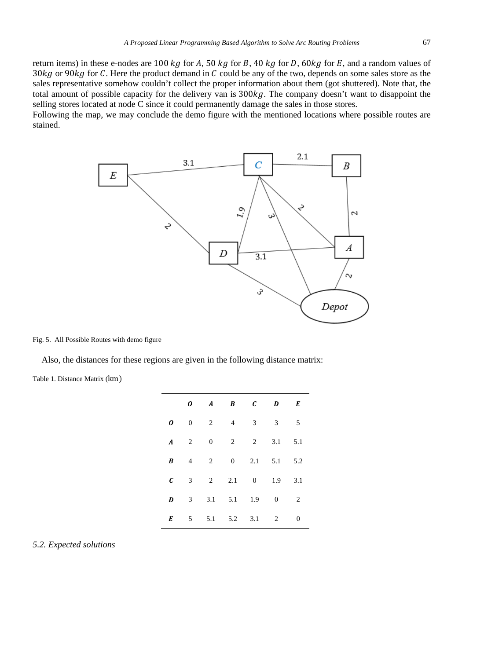return items) in these e-nodes are 100  $kg$  for A, 50  $kg$  for B, 40  $kg$  for D, 60 $kg$  for E, and a random values of 30 kg or 90 kg for C. Here the product demand in  $C$  could be any of the two, depends on some sales store as the sales representative somehow couldn't collect the proper information about them (got shuttered). Note that, the total amount of possible capacity for the delivery van is  $300kg$ . The company doesn't want to disappoint the selling stores located at node C since it could permanently damage the sales in those stores.

Following the map, we may conclude the demo figure with the mentioned locations where possible routes are stained.



Fig. 5. All Possible Routes with demo figure

Also, the distances for these regions are given in the following distance matrix:

Table 1. Distance Matrix (km)

|                  |                | 0 A B C D E              |                   |              |              |
|------------------|----------------|--------------------------|-------------------|--------------|--------------|
| $\boldsymbol{o}$ |                | $0 \t 2 \t 4 \t 3 \t 3$  |                   |              | $5^{\circ}$  |
|                  |                | <b>A</b> 2 0 2 2 3.1 5.1 |                   |              |              |
| $\boldsymbol{B}$ | $\overline{4}$ | $\overline{2}$           | $0 \t 2.1 \t 5.1$ |              | 5.2          |
| $\epsilon$       |                | 3 2 2.1 0 1.9 3.1        |                   |              |              |
| $\boldsymbol{D}$ |                | $3 \t 3.1 \t 5.1 \t 1.9$ |                   | $0 \qquad 2$ |              |
| $\boldsymbol{E}$ |                | 5 5.1 5.2 3.1            |                   | $\mathbf{2}$ | $\mathbf{0}$ |
|                  |                |                          |                   |              |              |

*5.2. Expected solutions*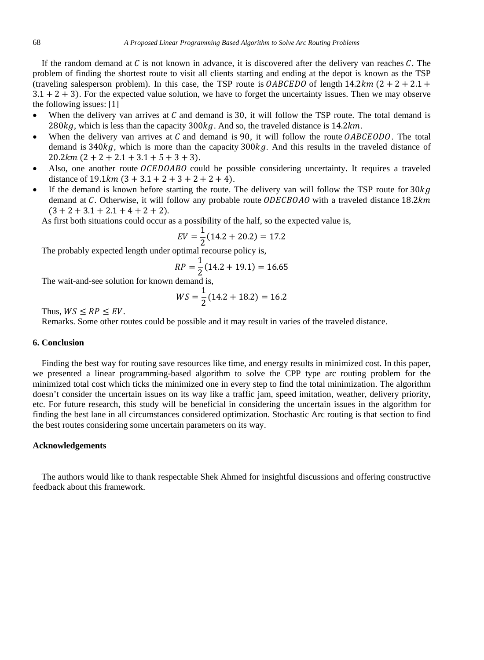If the random demand at  $C$  is not known in advance, it is discovered after the delivery van reaches  $C$ . The problem of finding the shortest route to visit all clients starting and ending at the depot is known as the TSP (traveling salesperson problem). In this case, the TSP route is  $OABCEDO$  of length  $14.2 km (2 + 2 + 2.1 +$  $3.1 + 2 + 3$ . For the expected value solution, we have to forget the uncertainty issues. Then we may observe the following issues: [1]

- When the delivery van arrives at  $C$  and demand is 30, it will follow the TSP route. The total demand is 280 $kg$ , which is less than the capacity 300 $kg$ . And so, the traveled distance is 14.2 $km$ .
- When the delivery van arrives at  $C$  and demand is 90, it will follow the route  $OABCEODO$ . The total demand is  $340kg$ , which is more than the capacity  $300kg$ . And this results in the traveled distance of  $20.2 km (2 + 2 + 2.1 + 3.1 + 5 + 3 + 3).$
- Also, one another route  $OCEDOABO$  could be possible considering uncertainty. It requires a traveled distance of  $19.1 km (3 + 3.1 + 2 + 3 + 2 + 2 + 4)$ .
- If the demand is known before starting the route. The delivery van will follow the TSP route for  $30kg$ demand at C. Otherwise, it will follow any probable route  $ODECBOAO$  with a traveled distance  $18.2km$  $(3 + 2 + 3.1 + 2.1 + 4 + 2 + 2)$ .

As first both situations could occur as a possibility of the half, so the expected value is,

$$
EV = \frac{1}{2}(14.2 + 20.2) = 17.2
$$

 $EV = \frac{1}{2}(14.2 + 20.2) = 17.2$ <br>The probably expected length under optimal recourse policy is,

$$
RP = \frac{1}{2}(14.2 + 19.1) = 16.65
$$

The wait-and-see solution for known demand is,

$$
WS = \frac{1}{2}(14.2 + 18.2) = 16.2
$$

Thus,  $WS \le RP \le EV$ .

Remarks. Some other routes could be possible and it may result in varies of the traveled distance.

## **6. Conclusion**

Finding the best way for routing save resources like time, and energy results in minimized cost. In this paper, we presented a linear programming-based algorithm to solve the CPP type arc routing problem for the minimized total cost which ticks the minimized one in every step to find the total minimization. The algorithm doesn't consider the uncertain issues on its way like a traffic jam, speed imitation, weather, delivery priority, etc. For future research, this study will be beneficial in considering the uncertain issues in the algorithm for finding the best lane in all circumstances considered optimization. Stochastic Arc routing is that section to find the best routes considering some uncertain parameters on its way.

#### **Acknowledgements**

 The authors would like to thank respectable Shek Ahmed for insightful discussions and offering constructive feedback about this framework.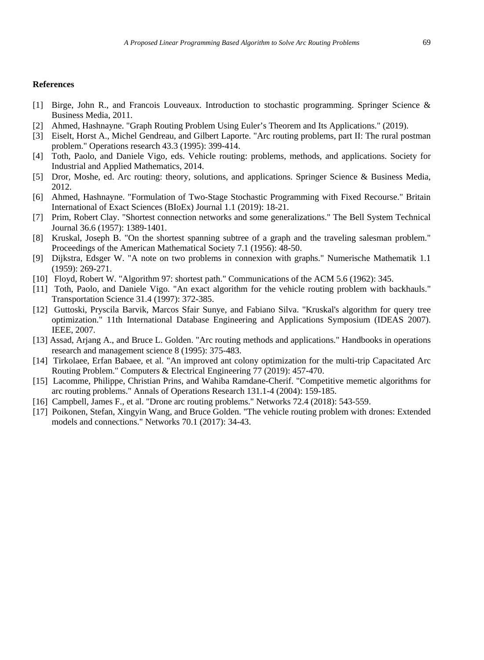# **References**

- [1] Birge, John R., and Francois Louveaux. Introduction to stochastic programming. Springer Science & Business Media, 2011.
- [2] Ahmed, Hashnayne. "Graph Routing Problem Using Euler's Theorem and Its Applications." (2019).
- [3] Eiselt, Horst A., Michel Gendreau, and Gilbert Laporte. "Arc routing problems, part II: The rural postman problem." Operations research 43.3 (1995): 399-414.
- [4] Toth, Paolo, and Daniele Vigo, eds. Vehicle routing: problems, methods, and applications. Society for Industrial and Applied Mathematics, 2014.
- [5] Dror, Moshe, ed. Arc routing: theory, solutions, and applications. Springer Science & Business Media, 2012.
- [6] Ahmed, Hashnayne. "Formulation of Two-Stage Stochastic Programming with Fixed Recourse." Britain International of Exact Sciences (BIoEx) Journal 1.1 (2019): 18-21.
- [7] Prim, Robert Clay. "Shortest connection networks and some generalizations." The Bell System Technical Journal 36.6 (1957): 1389-1401.
- [8] Kruskal, Joseph B. "On the shortest spanning subtree of a graph and the traveling salesman problem." Proceedings of the American Mathematical Society 7.1 (1956): 48-50.
- [9] Dijkstra, Edsger W. "A note on two problems in connexion with graphs." Numerische Mathematik 1.1 (1959): 269-271.
- [10] Floyd, Robert W. "Algorithm 97: shortest path." Communications of the ACM 5.6 (1962): 345.
- [11] Toth, Paolo, and Daniele Vigo. "An exact algorithm for the vehicle routing problem with backhauls." Transportation Science 31.4 (1997): 372-385.
- [12] Guttoski, Pryscila Barvik, Marcos Sfair Sunye, and Fabiano Silva. "Kruskal's algorithm for query tree optimization." 11th International Database Engineering and Applications Symposium (IDEAS 2007). IEEE, 2007.
- [13] Assad, Arjang A., and Bruce L. Golden. "Arc routing methods and applications." Handbooks in operations research and management science 8 (1995): 375-483.
- [14] Tirkolaee, Erfan Babaee, et al. "An improved ant colony optimization for the multi-trip Capacitated Arc Routing Problem." Computers & Electrical Engineering 77 (2019): 457-470.
- [15] Lacomme, Philippe, Christian Prins, and Wahiba Ramdane-Cherif. "Competitive memetic algorithms for arc routing problems." Annals of Operations Research 131.1-4 (2004): 159-185.
- [16] Campbell, James F., et al. "Drone arc routing problems." Networks 72.4 (2018): 543-559.
- [17] Poikonen, Stefan, Xingyin Wang, and Bruce Golden. "The vehicle routing problem with drones: Extended models and connections." Networks 70.1 (2017): 34-43.